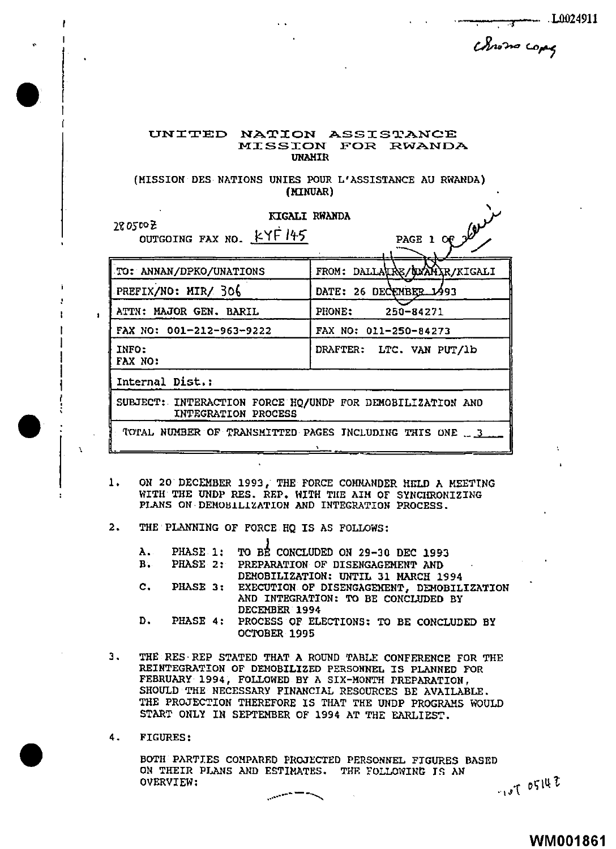Anono copy

## UNITED NATION ASSISTANCE MISSION FOR RWANDA **UNAHIR**

(MISSION DES NATIONS UNIES POUR L'ASSISTANCE AU RWANDA) (MINUAR)

| KIGALI RWANDA<br>280500Z<br>OUTGOING FAX NO. KYF 145                             | <b>Wall</b><br>PAGE 1 OF    |
|----------------------------------------------------------------------------------|-----------------------------|
| TO: ANNAN/DPKO/UNATIONS                                                          | FROM: DALLALRE/WAHLR/KIGALI |
| PREFIX/NO: MIR/ 306                                                              | DATE: 26 DECEMBER 1493      |
| ATTN: MAJOR GEN. BARIL                                                           | PHONE: 250-84271            |
| FAX NO: 001-212-963-9222                                                         | FAX NO: 011-250-84273       |
| INFO:<br>FAX NO:                                                                 | DRAFTER: LTC. VAN PUT/1b    |
| Internal Dist.:                                                                  |                             |
| SUBJECT: INTERACTION FORCE HQ/UNDP FOR DEMOBILIZATION AND<br>INTEGRATION PROCESS |                             |
| TOTAL NUMBER OF TRANSMITTED PAGES INCLUDING THIS ONE  3                          |                             |

- $\mathbf{1}$ . ON 20 DECEMBER 1993, THE FORCE COMMANDER HELD A MEETING WITH THE UNDP RES. REP. WITH THE AIM OF SYNCHRONIZING PLANS ON DEMOBILIZATION AND INTEGRATION PROCESS.
- $\mathbf{2}$ THE PLANNING OF FORCE HO IS AS FOLLOWS:

 $\blacksquare$ 

|  |  | A. PHASE 1: TO BE CONCLUDED ON 29-30 DEC 1993 |  |  |
|--|--|-----------------------------------------------|--|--|
|  |  |                                               |  |  |

- **B.** PHASE 2: PREPARATION OF DISENGAGEMENT AND DEMOBILIZATION: UNTIL 31 MARCH 1994
- $\mathbf{c}$ . PHASE 3: EXECUTION OF DISENGAGEMENT, DEMOBILIZATION AND INTEGRATION: TO BE CONCLUDED BY DECEMBER 1994
- D. PHASE 4: PROCESS OF ELECTIONS: TO BE CONCLUDED BY OCTOBER 1995
- 3. THE RES REP STATED THAT A ROUND TABLE CONFERENCE FOR THE REINTEGRATION OF DEMOBILIZED PERSONNEL IS PLANNED FOR FEBRUARY 1994, FOLLOWED BY A SIX-MONTH PREPARATION, SHOULD THE NECESSARY FINANCIAL RESOURCES BE AVAILABLE. THE PROJECTION THEREFORE IS THAT THE UNDP PROGRAMS WOULD START ONLY IN SEPTEMBER OF 1994 AT THE EARLIEST.

4. **FIGURES:** 

 $\mathbf{r}$ 

BOTH PARTIES COMPARED PROJECTED PERSONNEL FIGURES BASED ON THEIR PLANS AND ESTIMATES. THE FOLLOWING IS AN OVERVIEW:  $\cdots$ 

 $-15705147$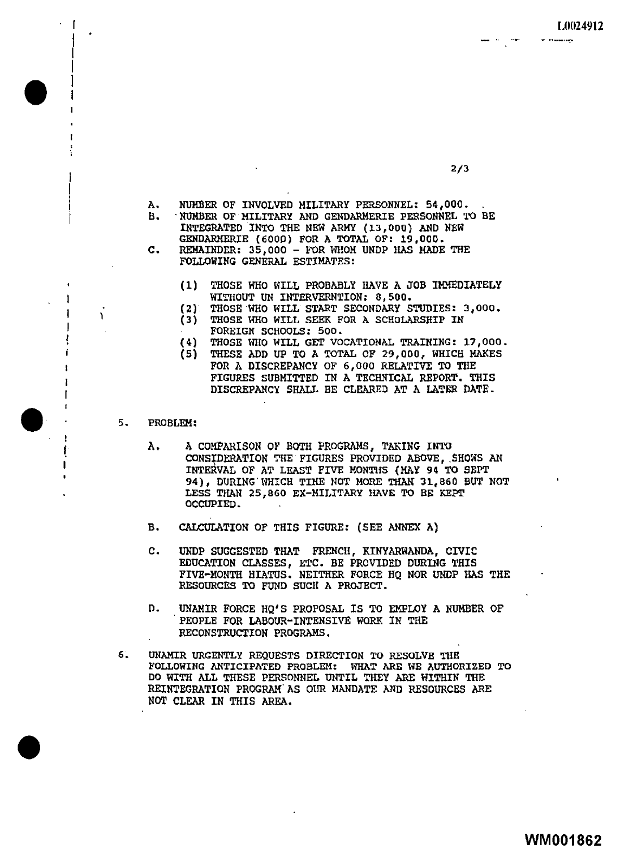1.0024912

2/3

- A. NUMBER OF INVOLVED MILITARY PERSONNEL: 54,000.
- B. ·NUMBER OF MILITARY AND GENDARMERIE PERSONNEL TO BE INTEGRATED INTO THE NEW ARMY ( 13 , 000) AND NEW GENDARMERIE (6000) FOR A TOTAL OF: 19,000. C. REMAINDER: 35,000 - FOR WHOM UNDP HAS MADE THE
	- FOLLOWING GENERAL ESTIMATES:
		- (1) THOSE WHO WILL PROBABLY HAVE A JOB IMMEDIATELY WITHOUT UN INTERVERNTION; 8, 500.
		- (2) THOsE·WHo WILL START SECONDARY STUDIES: 3,000.
		- (3) THOSE WHO WILL SEEK FOR A SCHOLARSHIP IN FOREIGN SCHOOLS: 500.
		- $(4)$ THOSE WHO WILL GET VOCATIONAL TRAINING: 17,000.
		- (5) THESE ADD UP TO A TOTAL OF 29,000, WHICH MAKES FOR A DISCREPANCY OF 6,000 RELATIVE TO THE FIGURES SUBMITTED IN A TECHNICAL REPORT. THIS DISCREPANCY SHALL BE CLEARED AT A LATER DATE.
- 5. PROBLEM:

 $\bullet$  :

1

Y

r

I I I I

•

- A. A COMPARISON OF BOTH PROGRAMS, TAKING INTO CONSIDERATION THE FIGURES PROVIDED ABOVE, SHOWS AN INTERVAL OF AT LEAST FIVE MONTHS (MAY 94 TO SEPT 94), DURING WHICH TIME NOT MORE THAN 31,860 BUT NOT LESS THAN 25,860 EX-MILITARY HAVE TO BE KEPT OCCUPIED.
- B. CALCULATION OF THIS FIGURE: (SEE ANNEX A)
- C. UNDP SUGGESTED THAT FRENCH, KINYARWANDA, CIVIC EDUCATION CLASSES, ETC. BE PROVIDED DURING THIS FIVE-MONTH HIATUS. NEITHER FORCE HQ NOR UNDP HAS THE RESOURCES TO FUND SUCH A PROJECT.
- D. UNAMIR FORCE HQ'S PROPOSAL IS TO EMPLOY A NUMBER OF . PEOPLE FOR LABOUR-INTENSIVE WORK IN THE RECONSTRUCTION PROGRAMS.
- 6. UNAMIR URGENTLY REQUESTS DIRECTION TO RESOLVE THE FOLLOWING ANTICIPATED PROBLEM: WHAT ARE WE AUTHORIZED TO DO WITH ALL THESE PERSONNEL UNTIL THEY ARE WITHIN THE REINTEGRATION PROGRAM AS OUR MANDATE AND RESOURCES ARE NOT CLEAR IN THIS AREA.